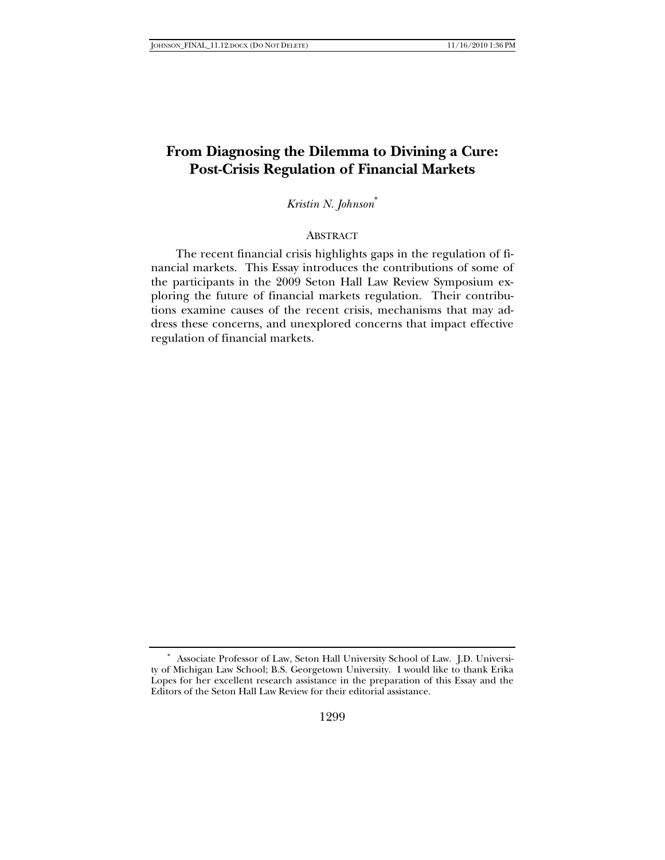# **From Diagnosing the Dilemma to Divining a Cure: Post-Crisis Regulation of Financial Markets**

## *Kristin N. Johnson*<sup>∗</sup>

### ABSTRACT

The recent financial crisis highlights gaps in the regulation of financial markets. This Essay introduces the contributions of some of the participants in the 2009 Seton Hall Law Review Symposium exploring the future of financial markets regulation. Their contributions examine causes of the recent crisis, mechanisms that may address these concerns, and unexplored concerns that impact effective regulation of financial markets.

<sup>∗</sup> Associate Professor of Law, Seton Hall University School of Law. J.D. University of Michigan Law School; B.S. Georgetown University. I would like to thank Erika Lopes for her excellent research assistance in the preparation of this Essay and the Editors of the Seton Hall Law Review for their editorial assistance.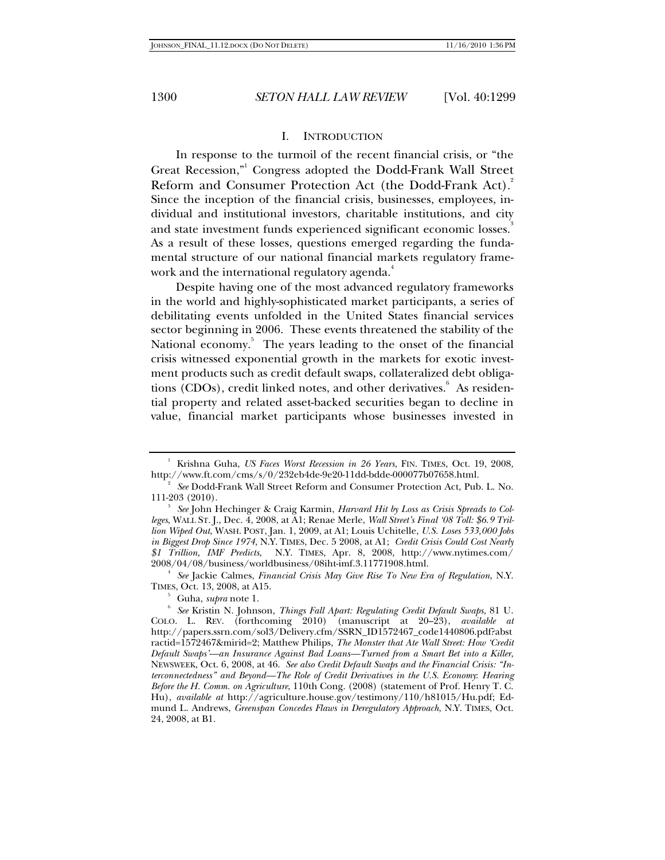### I. INTRODUCTION

In response to the turmoil of the recent financial crisis, or "the Great Recession,"<sup>1</sup> Congress adopted the Dodd-Frank Wall Street Reform and Consumer Protection Act (the Dodd-Frank Act). 2 Since the inception of the financial crisis, businesses, employees, individual and institutional investors, charitable institutions, and city and state investment funds experienced significant economic losses. As a result of these losses, questions emerged regarding the fundamental structure of our national financial markets regulatory framework and the international regulatory agenda.<sup>4</sup>

Despite having one of the most advanced regulatory frameworks in the world and highly-sophisticated market participants, a series of debilitating events unfolded in the United States financial services sector beginning in 2006. These events threatened the stability of the National economy.<sup>5</sup> The years leading to the onset of the financial crisis witnessed exponential growth in the markets for exotic investment products such as credit default swaps, collateralized debt obligations (CDOs), credit linked notes, and other derivatives. As residential property and related asset-backed securities began to decline in value, financial market participants whose businesses invested in

 *See* Jackie Calmes, *Financial Crisis May Give Rise To New Era of Regulation*, N.Y. TIMES, Oct. 13, 2008, at A15. 5

 $\delta$  Guha, *supra* note 1.

<sup>&</sup>lt;sup>1</sup> Krishna Guha, *US Faces Worst Recession in 26 Years*, FIN. TIMES, Oct. 19, 2008, http://www.ft.com/cms/s/0/232eb4de-9e20-11dd-bdde-000077b07658.html. 2

*See* Dodd-Frank Wall Street Reform and Consumer Protection Act, Pub. L. No. 111-203 (2010). 3

*See* John Hechinger & Craig Karmin, *Harvard Hit by Loss as Crisis Spreads to Colleges*, WALL ST. J., Dec. 4, 2008, at A1; Renae Merle, *Wall Street's Final '08 Toll: \$6.9 Trillion Wiped Out*, WASH. POST, Jan. 1, 2009, at A1; Louis Uchitelle, *U.S. Loses 533,000 Jobs in Biggest Drop Since 1974*, N.Y. TIMES, Dec. 5 2008, at A1; *Credit Crisis Could Cost Nearly \$1 Trillion, IMF Predicts*, N.Y. TIMES, Apr. 8, 2008, http://www.nytimes.com/ 2008/04/08/business/worldbusiness/08iht-imf.3.11771908.html. 4

*See* Kristin N. Johnson, *Things Fall Apart: Regulating Credit Default Swaps*, 81 U. COLO. L. REV. (forthcoming 2010) (manuscript at 20–23), *available at*  http://papers.ssrn.com/sol3/Delivery.cfm/SSRN\_ID1572467\_code1440806.pdf?abst ractid=1572467&mirid=2; Matthew Philips, *The Monster that Ate Wall Street: How 'Credit Default Swaps'—an Insurance Against Bad Loans—Turned from a Smart Bet into a Killer*, NEWSWEEK, Oct. 6, 2008, at 46. *See also Credit Default Swaps and the Financial Crisis: "Interconnectedness" and Beyond—The Role of Credit Derivatives in the U.S. Economy*: *Hearing Before the H. Comm. on Agriculture*, 110th Cong. (2008) (statement of Prof. Henry T. C. Hu), *available at* http://agriculture.house.gov/testimony/110/h81015/Hu.pdf; Edmund L. Andrews, *Greenspan Concedes Flaws in Deregulatory Approach*, N.Y. TIMES, Oct. 24, 2008, at B1.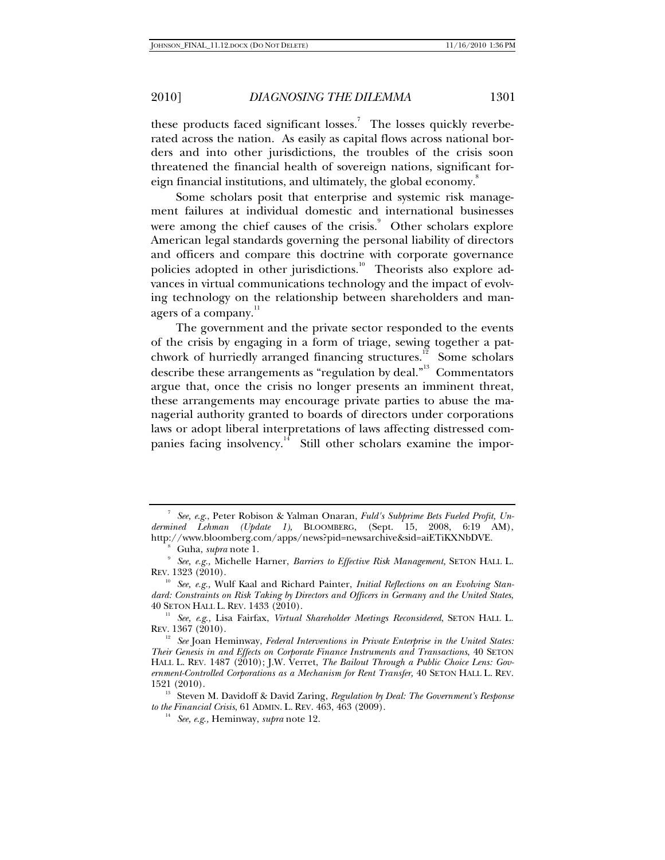these products faced significant losses.<sup>7</sup> The losses quickly reverberated across the nation. As easily as capital flows across national borders and into other jurisdictions, the troubles of the crisis soon threatened the financial health of sovereign nations, significant foreign financial institutions, and ultimately, the global economy.<sup>8</sup>

Some scholars posit that enterprise and systemic risk management failures at individual domestic and international businesses were among the chief causes of the crisis.<sup>9</sup> Other scholars explore American legal standards governing the personal liability of directors and officers and compare this doctrine with corporate governance policies adopted in other jurisdictions.<sup>10</sup> Theorists also explore advances in virtual communications technology and the impact of evolving technology on the relationship between shareholders and managers of a company.<sup>11</sup>

The government and the private sector responded to the events of the crisis by engaging in a form of triage, sewing together a patchwork of hurriedly arranged financing structures.<sup>12</sup> Some scholars describe these arrangements as "regulation by deal."13 Commentators argue that, once the crisis no longer presents an imminent threat, these arrangements may encourage private parties to abuse the managerial authority granted to boards of directors under corporations laws or adopt liberal interpretations of laws affecting distressed companies facing insolvency.<sup>14</sup> Still other scholars examine the impor-

<sup>7</sup> *See, e*.*g*., Peter Robison & Yalman Onaran, *Fuld's Subprime Bets Fueled Profit, Undermined Lehman (Update 1)*, BLOOMBERG, (Sept. 15, 2008, 6:19 AM), http://www.bloomberg.com/apps/news?pid=newsarchive&sid=aiETiKXNbDVE. 8

Guha, *supra* note 1.

*See, e.g.,* Michelle Harner, *Barriers to Effective Risk Management,* SETON HALL L. REV. 1323 (2010).

<sup>&</sup>lt;sup>10</sup> See, e.g., Wulf Kaal and Richard Painter, *Initial Reflections on an Evolving Standard: Constraints on Risk Taking by Directors and Officers in Germany and the United States*,

<sup>40</sup> SETON HALL L. REV. 1433 (2010). 11 *See, e*.*g*.*,* Lisa Fairfax, *Virtual Shareholder Meetings Reconsidered*, SETON HALL L. REV. 1367 (2010).

<sup>&</sup>lt;sup>12</sup> See Joan Heminway, *Federal Interventions in Private Enterprise in the United States: Their Genesis in and Effects on Corporate Finance Instruments and Transactions*, 40 SETON HALL L. REV. 1487 (2010); J.W. Verret, *The Bailout Through a Public Choice Lens: Government-Controlled Corporations as a Mechanism for Rent Transfer,* 40 SETON HALL L. REV.

<sup>1521 (2010). 13</sup> Steven M. Davidoff & David Zaring, *Regulation by Deal: The Government's Response to the Financial Crisis*, 61 ADMIN. L. REV. 463, 463 (2009). 14 *See, e*.*g*.*,* Heminway, *supra* note 12.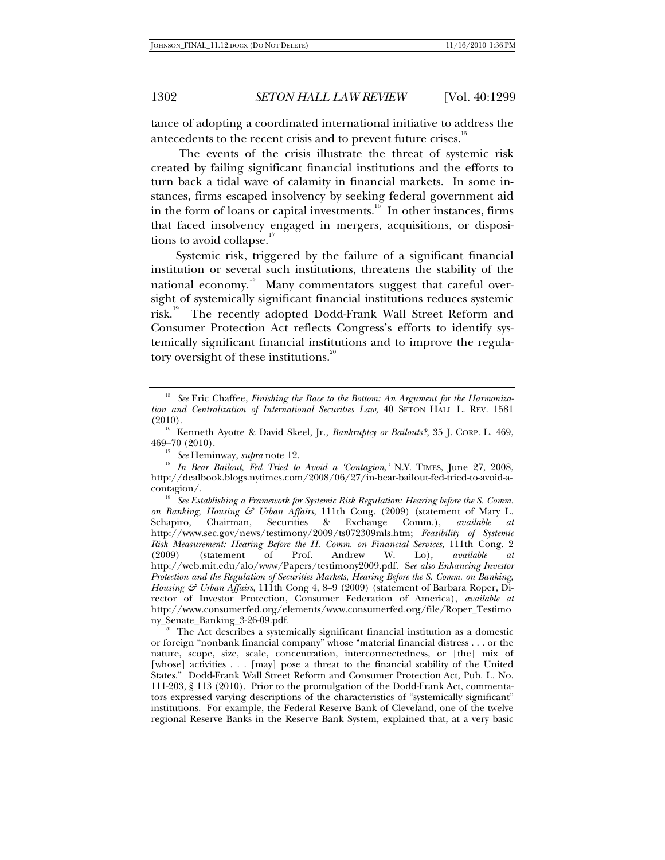tance of adopting a coordinated international initiative to address the antecedents to the recent crisis and to prevent future crises.<sup>15</sup>

 The events of the crisis illustrate the threat of systemic risk created by failing significant financial institutions and the efforts to turn back a tidal wave of calamity in financial markets. In some instances, firms escaped insolvency by seeking federal government aid in the form of loans or capital investments.<sup>16</sup> In other instances, firms that faced insolvency engaged in mergers, acquisitions, or dispositions to avoid collapse. $17$ 

Systemic risk, triggered by the failure of a significant financial institution or several such institutions, threatens the stability of the national economy.<sup>18</sup> Many commentators suggest that careful oversight of systemically significant financial institutions reduces systemic risk.<sup>19</sup> The recently adopted Dodd-Frank Wall Street Reform and Consumer Protection Act reflects Congress's efforts to identify systemically significant financial institutions and to improve the regulatory oversight of these institutions.<sup>20</sup>

<sup>15</sup> *See* Eric Chaffee, *Finishing the Race to the Bottom: An Argument for the Harmonization and Centralization of International Securities Law*, 40 SETON HALL L. REV. 1581

<sup>(2010). 16</sup> Kenneth Ayotte & David Skeel, Jr., *Bankruptcy or Bailouts?*, 35 J. CORP. L. 469,

<sup>&</sup>lt;sup>17</sup> See Heminway, *supra* note 12.<br><sup>18</sup> *In Bear Bailout, Fed Tried to Avoid a 'Contagion,' N.Y. TIMES, June 27, 2008,* http://dealbook.blogs.nytimes.com/2008/06/27/in-bear-bailout-fed-tried-to-avoid-a-

contagion/. 19 *See Establishing a Framework for Systemic Risk Regulation: Hearing before the S. Comm. on Banking, Housing & Urban Affairs*, 111th Cong. (2009) (statement of Mary L. Schapiro, Chairman, Securities & Exchange Comm.), *available at* http://www.sec.gov/news/testimony/2009/ts072309mls.htm; *Feasibility of Systemic Risk Measurement: Hearing Before the H. Comm. on Financial Services*, 111th Cong. 2 (2009) (statement of Prof. Andrew W. Lo), *available at* http://web.mit.edu/alo/www/Papers/testimony2009.pdf. S*ee also Enhancing Investor Protection and the Regulation of Securities Markets, Hearing Before the S. Comm. on Banking, Housing & Urban Affairs*, 111th Cong 4, 8–9 (2009) (statement of Barbara Roper, Director of Investor Protection, Consumer Federation of America), *available at* http://www.consumerfed.org/elements/www.consumerfed.org/file/Roper\_Testimo

<sup>&</sup>lt;sup>20</sup> The Act describes a systemically significant financial institution as a domestic or foreign "nonbank financial company" whose "material financial distress . . . or the nature, scope, size, scale, concentration, interconnectedness, or [the] mix of [whose] activities . . . [may] pose a threat to the financial stability of the United States." Dodd-Frank Wall Street Reform and Consumer Protection Act, Pub. L. No. 111-203, § 113 (2010). Prior to the promulgation of the Dodd-Frank Act, commentators expressed varying descriptions of the characteristics of "systemically significant" institutions. For example, the Federal Reserve Bank of Cleveland, one of the twelve regional Reserve Banks in the Reserve Bank System, explained that, at a very basic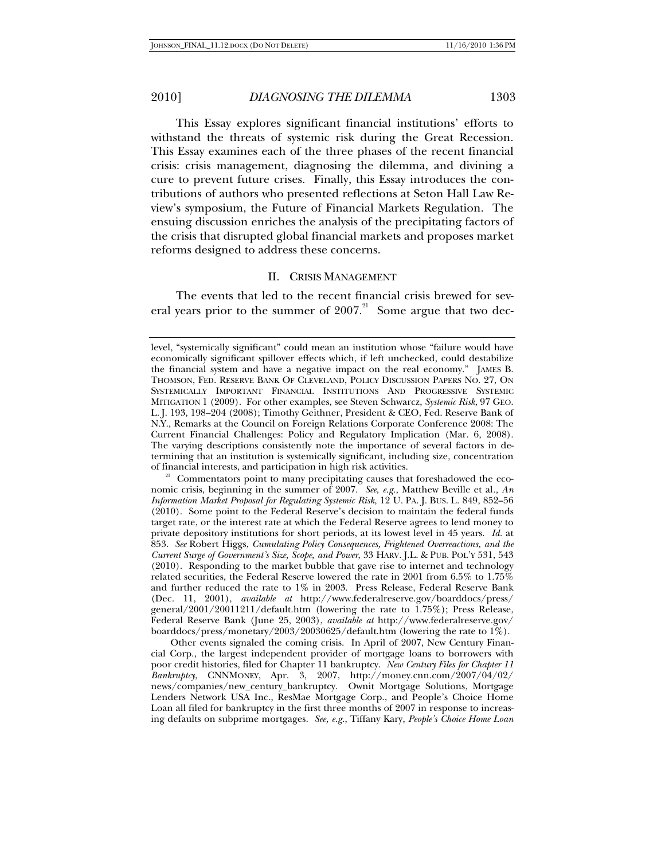This Essay explores significant financial institutions' efforts to withstand the threats of systemic risk during the Great Recession. This Essay examines each of the three phases of the recent financial crisis: crisis management, diagnosing the dilemma, and divining a cure to prevent future crises. Finally, this Essay introduces the contributions of authors who presented reflections at Seton Hall Law Review's symposium, the Future of Financial Markets Regulation. The ensuing discussion enriches the analysis of the precipitating factors of the crisis that disrupted global financial markets and proposes market reforms designed to address these concerns.

#### II. CRISIS MANAGEMENT

The events that led to the recent financial crisis brewed for several years prior to the summer of  $2007<sup>21</sup>$  Some argue that two dec-

Other events signaled the coming crisis. In April of 2007, New Century Financial Corp., the largest independent provider of mortgage loans to borrowers with poor credit histories, filed for Chapter 11 bankruptcy. *New Century Files for Chapter 11 Bankruptcy*, CNNMONEY, Apr. 3, 2007, http://money.cnn.com/2007/04/02/ news/companies/new\_century\_bankruptcy. Ownit Mortgage Solutions, Mortgage Lenders Network USA Inc., ResMae Mortgage Corp., and People's Choice Home Loan all filed for bankruptcy in the first three months of 2007 in response to increasing defaults on subprime mortgages. *See, e.g.*, Tiffany Kary, *People's Choice Home Loan* 

level, "systemically significant" could mean an institution whose "failure would have economically significant spillover effects which, if left unchecked, could destabilize the financial system and have a negative impact on the real economy." JAMES B. THOMSON, FED. RESERVE BANK OF CLEVELAND, POLICY DISCUSSION PAPERS NO. 27, ON SYSTEMICALLY IMPORTANT FINANCIAL INSTITUTIONS AND PROGRESSIVE SYSTEMIC MITIGATION 1 (2009). For other examples, see Steven Schwarcz, *Systemic Risk*, 97 GEO. L. J. 193, 198–204 (2008); Timothy Geithner, President & CEO, Fed. Reserve Bank of N.Y., Remarks at the Council on Foreign Relations Corporate Conference 2008: The Current Financial Challenges: Policy and Regulatory Implication (Mar. 6, 2008). The varying descriptions consistently note the importance of several factors in determining that an institution is systemically significant, including size, concentration

<sup>&</sup>lt;sup>21</sup> Commentators point to many precipitating causes that foreshadowed the economic crisis, beginning in the summer of 2007. *See, e.g.,* Matthew Beville et al*., An Information Market Proposal for Regulating Systemic Risk*, 12 U. PA. J. BUS. L. 849, 852–56 (2010). Some point to the Federal Reserve's decision to maintain the federal funds target rate, or the interest rate at which the Federal Reserve agrees to lend money to private depository institutions for short periods, at its lowest level in 45 years. *Id.* at 853. *See* Robert Higgs, *Cumulating Policy Consequences, Frightened Overreactions, and the Current Surge of Government's Size, Scope, and Power*, 33 HARV. J.L. & PUB. POL'Y 531, 543 (2010). Responding to the market bubble that gave rise to internet and technology related securities, the Federal Reserve lowered the rate in 2001 from 6.5% to 1.75% and further reduced the rate to 1% in 2003. Press Release, Federal Reserve Bank (Dec. 11, 2001), *available at* http://www.federalreserve.gov/boarddocs/press/ general/2001/20011211/default.htm (lowering the rate to 1.75%); Press Release, Federal Reserve Bank (June 25, 2003), *available at* http://www.federalreserve.gov/ boarddocs/press/monetary/2003/20030625/default.htm (lowering the rate to 1%).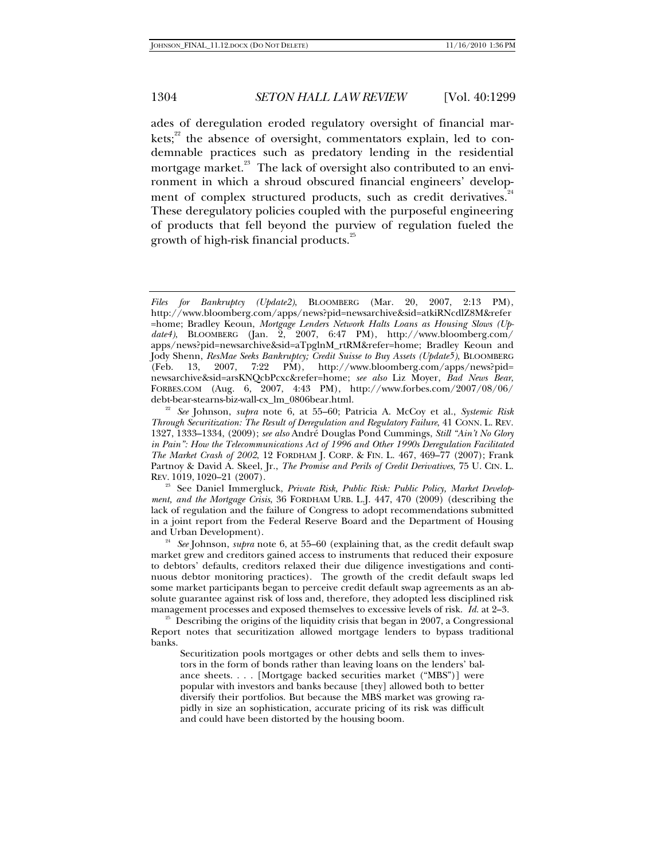ades of deregulation eroded regulatory oversight of financial markets; $^{22}$  the absence of oversight, commentators explain, led to condemnable practices such as predatory lending in the residential mortgage market.<sup>23</sup> The lack of oversight also contributed to an environment in which a shroud obscured financial engineers' development of complex structured products, such as credit derivatives.<sup>24</sup> These deregulatory policies coupled with the purposeful engineering of products that fell beyond the purview of regulation fueled the growth of high-risk financial products.<sup>25</sup>

<sup>23</sup> See Daniel Immergluck, Private Risk, Public Risk: Public Policy, Market Develop*ment, and the Mortgage Crisis*, 36 FORDHAM URB. L.J. 447, 470 (2009) (describing the lack of regulation and the failure of Congress to adopt recommendations submitted in a joint report from the Federal Reserve Board and the Department of Housing

and Urban Development). 24 *See* Johnson, *supra* note 6, at 55–60 (explaining that, as the credit default swap market grew and creditors gained access to instruments that reduced their exposure to debtors' defaults, creditors relaxed their due diligence investigations and continuous debtor monitoring practices). The growth of the credit default swaps led some market participants began to perceive credit default swap agreements as an absolute guarantee against risk of loss and, therefore, they adopted less disciplined risk management processes and exposed themselves to excessive levels of risk. *Id.* at 2–3.<br><sup>25</sup> Describing the origins of the liquidity crisis that began in 2007, a Congressional

Report notes that securitization allowed mortgage lenders to bypass traditional banks.

Securitization pools mortgages or other debts and sells them to investors in the form of bonds rather than leaving loans on the lenders' balance sheets. . . . [Mortgage backed securities market ("MBS")] were popular with investors and banks because [they] allowed both to better diversify their portfolios. But because the MBS market was growing rapidly in size an sophistication, accurate pricing of its risk was difficult and could have been distorted by the housing boom.

*Files for Bankruptcy (Update2)*, BLOOMBERG (Mar. 20, 2007, 2:13 PM), http://www.bloomberg.com/apps/news?pid=newsarchive&sid=atkiRNcdlZ8M&refer =home; Bradley Keoun, *Mortgage Lenders Network Halts Loans as Housing Slows (Update4)*, BLOOMBERG (Jan. 2, 2007, 6:47 PM), http://www.bloomberg.com/ apps/news?pid=newsarchive&sid=aTpglnM\_rtRM&refer=home; Bradley Keoun and Jody Shenn, *ResMae Seeks Bankruptcy; Credit Suisse to Buy Assets (Update5)*, BLOOMBERG (Feb. 13, 2007, 7:22 PM), http://www.bloomberg.com/apps/news?pid= newsarchive&sid=arsKNQcbPcxc&refer=home; *see also* Liz Moyer, *Bad News Bear*, FORBES.COM (Aug. 6, 2007, 4:43 PM), http://www.forbes.com/2007/08/06/

debt-bear-stearns-biz-wall-cx\_lm\_0806bear.html. 22 *See* Johnson, *supra* note 6, at 55–60; Patricia A. McCoy et al., *Systemic Risk Through Securitization: The Result of Deregulation and Regulatory Failure*, 41 CONN. L. REV. 1327, 1333–1334, (2009); *see also* André Douglas Pond Cummings, *Still "Ain't No Glory in Pain": How the Telecommunications Act of 1996 and Other 1990s Deregulation Facilitated The Market Crash of 2002*, 12 FORDHAM J. CORP. & FIN. L. 467, 469–77 (2007); Frank Partnoy & David A. Skeel, Jr., *The Promise and Perils of Credit Derivatives*, 75 U. CIN. L.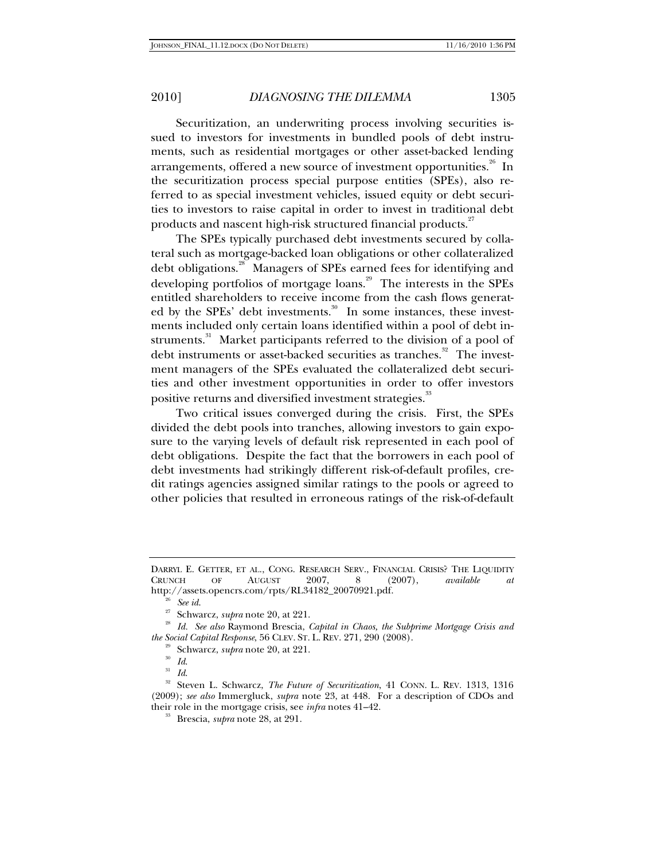Securitization, an underwriting process involving securities issued to investors for investments in bundled pools of debt instruments, such as residential mortgages or other asset-backed lending arrangements, offered a new source of investment opportunities.<sup>26</sup> In the securitization process special purpose entities (SPEs), also referred to as special investment vehicles, issued equity or debt securities to investors to raise capital in order to invest in traditional debt products and nascent high-risk structured financial products.<sup>27</sup>

The SPEs typically purchased debt investments secured by collateral such as mortgage-backed loan obligations or other collateralized debt obligations.<sup>28</sup> Managers of SPEs earned fees for identifying and developing portfolios of mortgage loans.<sup>29</sup> The interests in the SPEs entitled shareholders to receive income from the cash flows generated by the SPEs' debt investments.<sup>30</sup> In some instances, these investments included only certain loans identified within a pool of debt instruments.<sup>31</sup> Market participants referred to the division of a pool of debt instruments or asset-backed securities as tranches.<sup>32</sup> The investment managers of the SPEs evaluated the collateralized debt securities and other investment opportunities in order to offer investors positive returns and diversified investment strategies. $^{\text{^{33}}}$ 

Two critical issues converged during the crisis. First, the SPEs divided the debt pools into tranches, allowing investors to gain exposure to the varying levels of default risk represented in each pool of debt obligations. Despite the fact that the borrowers in each pool of debt investments had strikingly different risk-of-default profiles, credit ratings agencies assigned similar ratings to the pools or agreed to other policies that resulted in erroneous ratings of the risk-of-default

DARRYL E. GETTER, ET AL., CONG. RESEARCH SERV., FINANCIAL CRISIS? THE LIQUIDITY CRUNCH OF AUGUST 2007, 8 (2007), available at CRUNCH OF AUGUST 2007, 8 (2007), *available at* http://assets.opencrs.com/rpts/RL34182\_20070921.pdf.<br><sup>26</sup> See *id.* 27 Schwarcz, *supra* note 20, at 221.<br><sup>28</sup> *Id. See also* Raymond Brescia, *Capital in Chaos, the Subprime Mortgage Crisis and* 

*the Social Capital Response,* 56 CLEV. ST. L. REV. 271, 290 (2008).<br><sup>29</sup> Schwarcz, *supra* note 20, at 221.<br><sup>30</sup> *Id.*<br><sup>31</sup> *Id.*<br><sup>32</sup> Steven L. Schwarcz, *The Future of Securitization*, 41 CONN. L. REV. 1313, 1316

<sup>(2009);</sup> *see also* Immergluck, *supra* note 23, at 448. For a description of CDOs and their role in the mortgage crisis, see *infra* notes 41–42. 33 Brescia, *supra* note 28, at 291.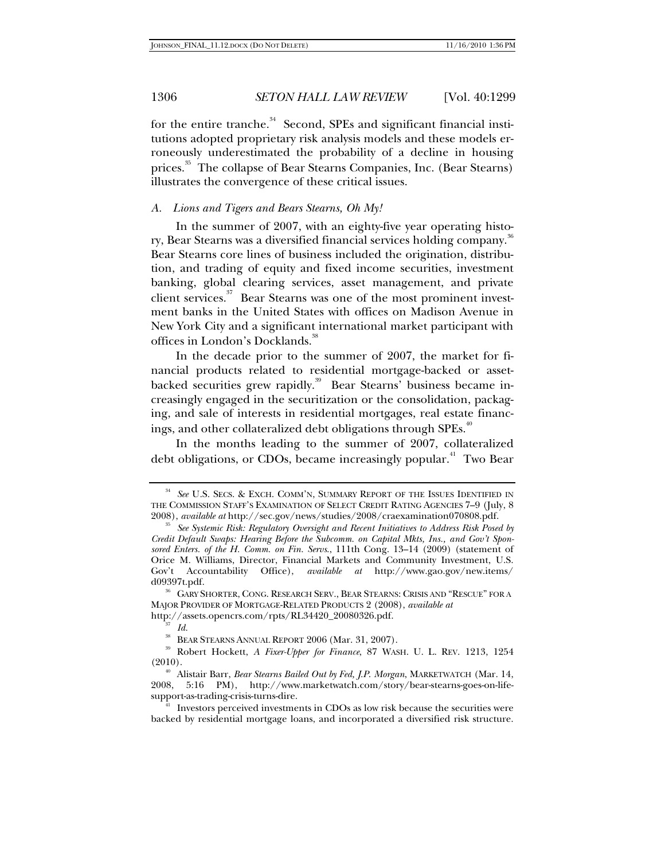for the entire tranche.<sup>34</sup> Second, SPEs and significant financial institutions adopted proprietary risk analysis models and these models erroneously underestimated the probability of a decline in housing prices.<sup>35</sup> The collapse of Bear Stearns Companies, Inc. (Bear Stearns) illustrates the convergence of these critical issues.

### *A. Lions and Tigers and Bears Stearns, Oh My!*

In the summer of 2007, with an eighty-five year operating history, Bear Stearns was a diversified financial services holding company.<sup>3</sup> Bear Stearns core lines of business included the origination, distribution, and trading of equity and fixed income securities, investment banking, global clearing services, asset management, and private client services.<sup>37</sup> Bear Stearns was one of the most prominent investment banks in the United States with offices on Madison Avenue in New York City and a significant international market participant with offices in London's Docklands.<sup>38</sup>

In the decade prior to the summer of 2007, the market for financial products related to residential mortgage-backed or assetbacked securities grew rapidly.<sup>39</sup> Bear Stearns' business became increasingly engaged in the securitization or the consolidation, packaging, and sale of interests in residential mortgages, real estate financings, and other collateralized debt obligations through SPEs.<sup>40</sup>

In the months leading to the summer of 2007, collateralized debt obligations, or CDOs, became increasingly popular.<sup>41</sup> Two Bear

<sup>34</sup> *See* U.S. SECS. & EXCH. COMM'N, SUMMARY REPORT OF THE ISSUES IDENTIFIED IN THE COMMISSION STAFF'S EXAMINATION OF SELECT CREDIT RATING AGENCIES 7-9 (July, 8 2008), *available at* http://sec.gov/news/studies/2008/craexamination070808.pdf.

<sup>&</sup>lt;sup>35</sup> See Systemic Risk: Regulatory Oversight and Recent Initiatives to Address Risk Posed by *Credit Default Swaps: Hearing Before the Subcomm. on Capital Mkts, Ins., and Gov't Sponsored Enters. of the H. Comm. on Fin. Servs*., 111th Cong. 13–14 (2009) (statement of Orice M. Williams, Director, Financial Markets and Community Investment, U.S. Gov't Accountability Office), *available at* http://www.gao.gov/new.items/ d09397t.pdf.

 <sup>36</sup> GARY SHORTER, CONG. RESEARCH SERV., BEAR STEARNS: CRISIS AND "RESCUE" FOR A MAJOR PROVIDER OF MORTGAGE-RELATED PRODUCTS 2 (2008), *available at* http://assets.opencrs.com/rpts/RL34420\_20080326.pdf.

<sup>&</sup>lt;sup>37</sup> *Id.* **BEAR STEARNS ANNUAL REPORT 2006 (Mar. 31, 2007).** 

<sup>&</sup>lt;sup>39</sup> Robert Hockett, *A Fixer-Upper for Finance*, 87 WASH. U. L. REV. 1213, 1254 (2010).

<sup>&</sup>lt;sup>40</sup> Alistair Barr, *Bear Stearns Bailed Out by Fed, J.P. Morgan*, MARKETWATCH (Mar. 14, 2008, 5:16 PM), http://www.marketwatch.com/story/bear-stearns-goes-on-life-

Investors perceived investments in CDOs as low risk because the securities were backed by residential mortgage loans, and incorporated a diversified risk structure.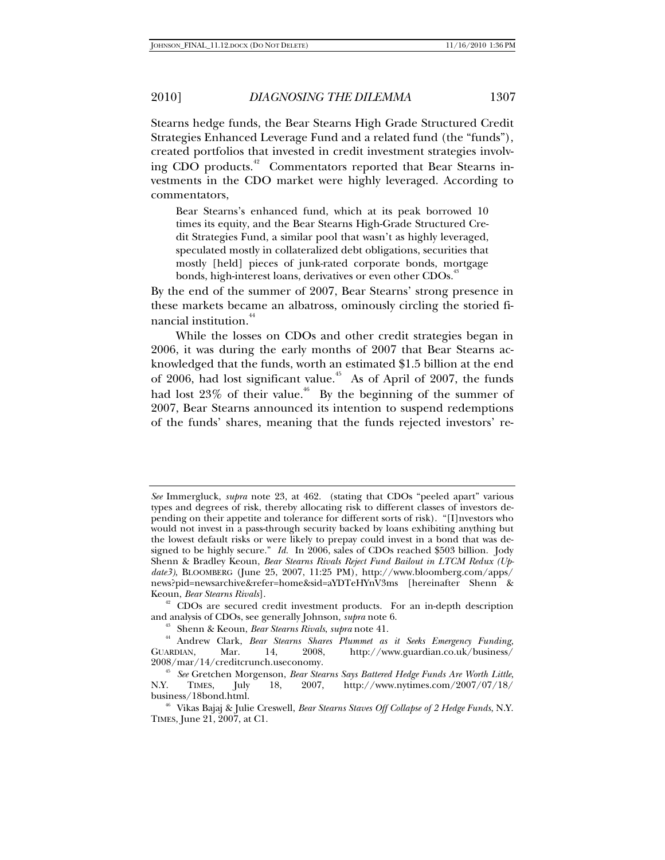Stearns hedge funds, the Bear Stearns High Grade Structured Credit Strategies Enhanced Leverage Fund and a related fund (the "funds"), created portfolios that invested in credit investment strategies involving CDO products.<sup>42</sup> Commentators reported that Bear Stearns investments in the CDO market were highly leveraged. According to commentators,

Bear Stearns's enhanced fund, which at its peak borrowed 10 times its equity, and the Bear Stearns High-Grade Structured Credit Strategies Fund, a similar pool that wasn't as highly leveraged, speculated mostly in collateralized debt obligations, securities that mostly [held] pieces of junk-rated corporate bonds, mortgage bonds, high-interest loans, derivatives or even other CDOs.<sup>43</sup>

By the end of the summer of 2007, Bear Stearns' strong presence in these markets became an albatross, ominously circling the storied financial institution.<sup>44</sup>

While the losses on CDOs and other credit strategies began in 2006, it was during the early months of 2007 that Bear Stearns acknowledged that the funds, worth an estimated \$1.5 billion at the end of 2006, had lost significant value.<sup> $45$ </sup> As of April of 2007, the funds had lost  $23\%$  of their value.<sup>46</sup> By the beginning of the summer of 2007, Bear Stearns announced its intention to suspend redemptions of the funds' shares, meaning that the funds rejected investors' re-

Keoun, *Bear Stearns Rivals*].<br><sup>42</sup> CDOs are secured credit investment products. For an in-depth description<br>and analysis of CDOs, see generally Johnson, *supra* note 6.

*See* Immergluck, *supra* note 23, at 462. (stating that CDOs "peeled apart" various types and degrees of risk, thereby allocating risk to different classes of investors depending on their appetite and tolerance for different sorts of risk). "[I]nvestors who would not invest in a pass-through security backed by loans exhibiting anything but the lowest default risks or were likely to prepay could invest in a bond that was designed to be highly secure." *Id.* In 2006, sales of CDOs reached \$503 billion. Jody Shenn & Bradley Keoun, *Bear Stearns Rivals Reject Fund Bailout in LTCM Redux (Update3)*, BLOOMBERG (June 25, 2007, 11:25 PM), http://www.bloomberg.com/apps/ news?pid=newsarchive&refer=home&sid=aYDTeHYnV3ms [hereinafter Shenn &

<sup>&</sup>lt;sup>43</sup> Shenn & Keoun, *Bear Stearns Rivals, supra* note 41.<br><sup>44</sup> Andrew Clark, *Bear Stearns Shares Plummet as it Seeks Emergency Funding, <br>ARDIAN, Mar. 14, 2008, http://www.guardian.co.uk/business/* GUARDIAN, Mar. 14, 2008, http://www.guardian.co.uk/business/<br>2008/mar/14/creditcrunch.useconomy.

<sup>&</sup>lt;sup>45</sup> See Gretchen Morgenson, *Bear Stearns Says Battered Hedge Funds Are Worth Little*, N.Y. TIMES, July 18, 2007, http://www.nytimes.com/2007/07/18/ 18, 2007, http://www.nytimes.com/2007/07/18/ business/18bond.html. 46 Vikas Bajaj & Julie Creswell, *Bear Stearns Staves Off Collapse of 2 Hedge Funds*, N.Y.

TIMES, June 21, 2007, at C1.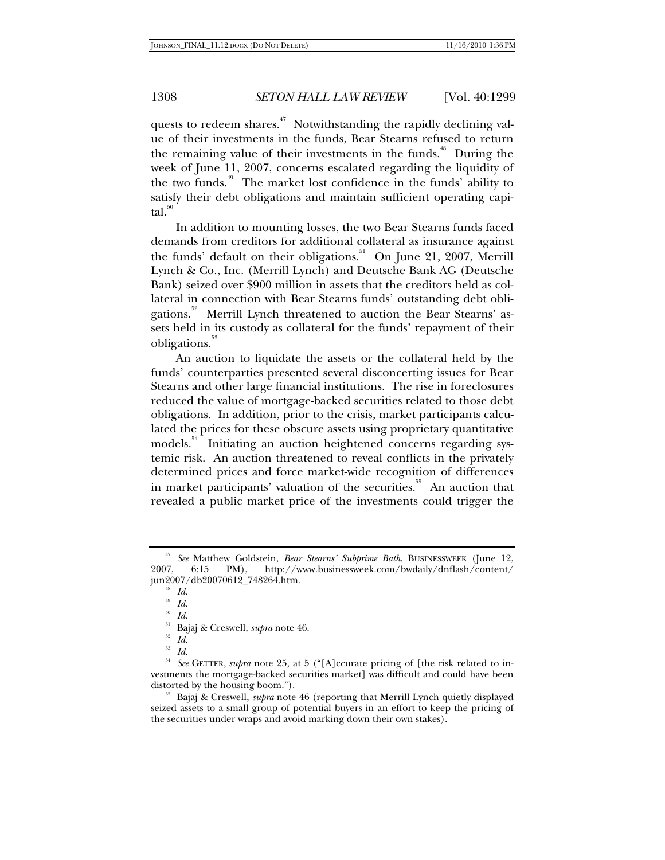quests to redeem shares.<sup>47</sup> Notwithstanding the rapidly declining value of their investments in the funds, Bear Stearns refused to return the remaining value of their investments in the funds.<sup> $48$ </sup> During the week of June 11, 2007, concerns escalated regarding the liquidity of the two funds.<sup>49</sup> The market lost confidence in the funds' ability to satisfy their debt obligations and maintain sufficient operating capital.<sup>50</sup>

In addition to mounting losses, the two Bear Stearns funds faced demands from creditors for additional collateral as insurance against the funds' default on their obligations.<sup>51</sup> On June 21, 2007, Merrill Lynch & Co., Inc. (Merrill Lynch) and Deutsche Bank AG (Deutsche Bank) seized over \$900 million in assets that the creditors held as collateral in connection with Bear Stearns funds' outstanding debt obligations.<sup>52</sup> Merrill Lynch threatened to auction the Bear Stearns' assets held in its custody as collateral for the funds' repayment of their obligations.<sup>53</sup>

An auction to liquidate the assets or the collateral held by the funds' counterparties presented several disconcerting issues for Bear Stearns and other large financial institutions. The rise in foreclosures reduced the value of mortgage-backed securities related to those debt obligations. In addition, prior to the crisis, market participants calculated the prices for these obscure assets using proprietary quantitative models.<sup>54</sup> Initiating an auction heightened concerns regarding systemic risk. An auction threatened to reveal conflicts in the privately determined prices and force market-wide recognition of differences in market participants' valuation of the securities.<sup>55</sup> An auction that revealed a public market price of the investments could trigger the

<sup>47</sup> *See* Matthew Goldstein, *Bear Stearns' Subprime Bath*, BUSINESSWEEK (June 12, 2007, 6:15 PM), http://www.businessweek.com/bwdaily/dnflash/content/ jun2007/db20070612\_748264.htm. 48 *Id.*

 $\frac{49}{50}$  *Id.* 

<sup>50</sup> *Id*. 51 Bajaj & Creswell, *supra* note 46. 52 *Id.*

 $\frac{53}{54}$  *Id.* 

<sup>54</sup> *See* GETTER, *supra* note 25, at 5 ("[A]ccurate pricing of [the risk related to investments the mortgage-backed securities market] was difficult and could have been

<sup>&</sup>lt;sup>55</sup> Bajaj & Creswell, *supra* note 46 (reporting that Merrill Lynch quietly displayed seized assets to a small group of potential buyers in an effort to keep the pricing of the securities under wraps and avoid marking down their own stakes).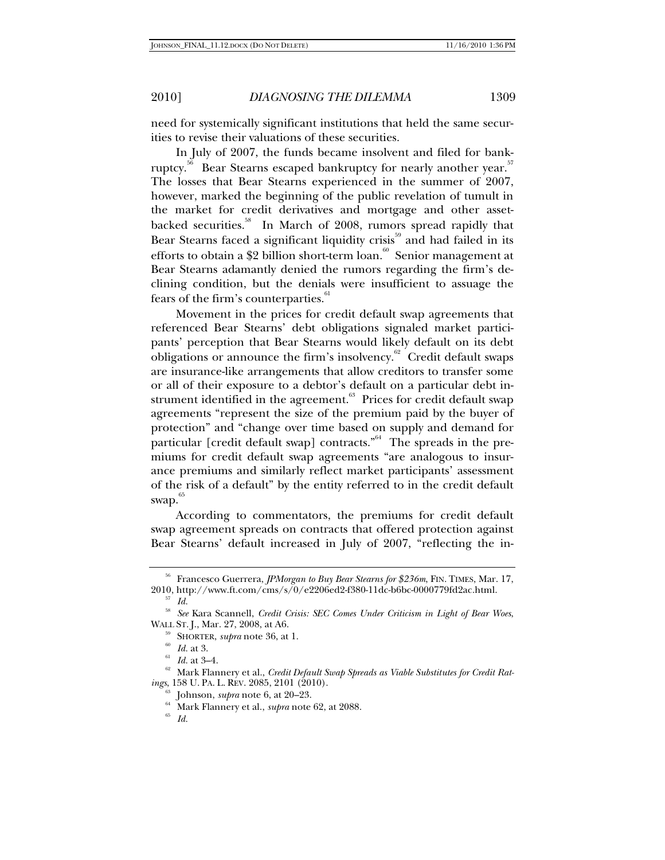need for systemically significant institutions that held the same securities to revise their valuations of these securities.

In July of 2007, the funds became insolvent and filed for bankruptcy.<sup>56</sup> Bear Stearns escaped bankruptcy for nearly another year.<sup>57</sup> The losses that Bear Stearns experienced in the summer of 2007, however, marked the beginning of the public revelation of tumult in the market for credit derivatives and mortgage and other assetbacked securities.<sup>58</sup> In March of 2008, rumors spread rapidly that Bear Stearns faced a significant liquidity crisis<sup>59</sup> and had failed in its efforts to obtain a \$2 billion short-term loan.<sup>60</sup> Senior management at Bear Stearns adamantly denied the rumors regarding the firm's declining condition, but the denials were insufficient to assuage the fears of the firm's counterparties.<sup><sup>01</sup></sup>

Movement in the prices for credit default swap agreements that referenced Bear Stearns' debt obligations signaled market participants' perception that Bear Stearns would likely default on its debt obligations or announce the firm's insolvency. $62^{\circ}$  Credit default swaps are insurance-like arrangements that allow creditors to transfer some or all of their exposure to a debtor's default on a particular debt instrument identified in the agreement.<sup>63</sup> Prices for credit default swap agreements "represent the size of the premium paid by the buyer of protection" and "change over time based on supply and demand for particular [credit default swap] contracts.<sup> $n<sup>64</sup>$ </sup> The spreads in the premiums for credit default swap agreements "are analogous to insurance premiums and similarly reflect market participants' assessment of the risk of a default" by the entity referred to in the credit default  $swap.$ <sup>65</sup>

According to commentators, the premiums for credit default swap agreement spreads on contracts that offered protection against Bear Stearns' default increased in July of 2007, "reflecting the in-

<sup>56</sup> Francesco Guerrera, *JPMorgan to Buy Bear Stearns for \$236m*, FIN. TIMES, Mar. 17, 2010, http://www.ft.com/cms/s/0/e2206ed2-f380-11dc-b6bc-0000779fd2ac.html. 57 *Id.*

<sup>58</sup> *See* Kara Scannell, *Credit Crisis: SEC Comes Under Criticism in Light of Bear Woes*,

WALL ST. J., Mar. 27, 2008, at A6.<br><sup>59</sup> SHORTER, *supra* note 36, at 1.<br><sup>61</sup> *Id.* at 3.<br><sup>61</sup> *Id.* at 3–4.<br><sup>62</sup> Mark Flannery et al., *Credit Default Swap Spreads as Viable Substitutes for Credit Rat-*

*ings*, 158 U. PA. L. REV. 2085, 2101 (2010).<br><sup>63</sup> Johnson, *supra* note 6, at 20–23.<br><sup>64</sup> Mark Flannery et al., *supra* note 62, at 2088.<br><sup>65</sup> *Id.*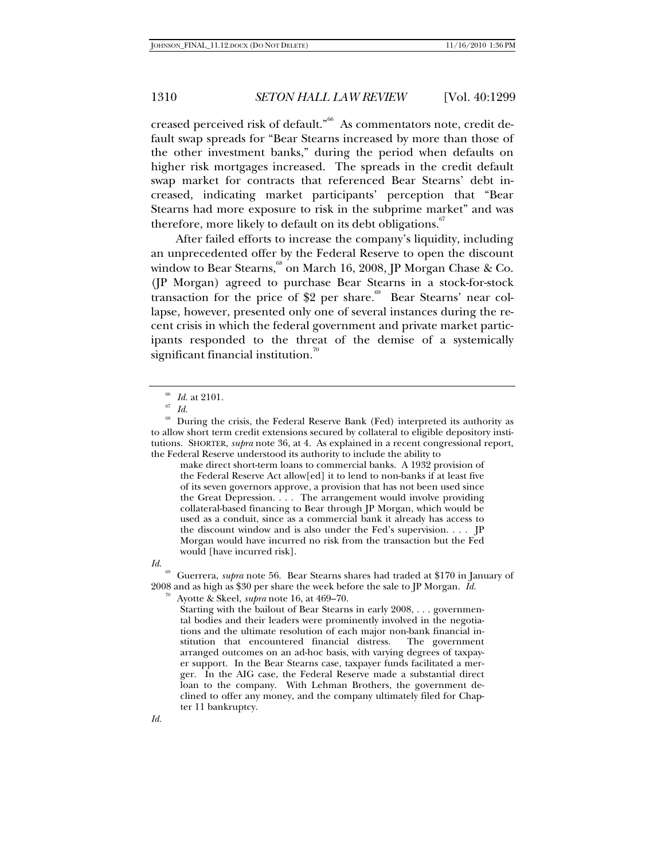creased perceived risk of default."<sup>66</sup> As commentators note, credit default swap spreads for "Bear Stearns increased by more than those of the other investment banks," during the period when defaults on higher risk mortgages increased. The spreads in the credit default swap market for contracts that referenced Bear Stearns' debt increased, indicating market participants' perception that "Bear Stearns had more exposure to risk in the subprime market" and was therefore, more likely to default on its debt obligations.

After failed efforts to increase the company's liquidity, including an unprecedented offer by the Federal Reserve to open the discount window to Bear Stearns,  $\degree$  on March 16, 2008, IP Morgan Chase & Co. (JP Morgan) agreed to purchase Bear Stearns in a stock-for-stock transaction for the price of \$2 per share.<sup>69</sup> Bear Stearns' near collapse, however, presented only one of several instances during the recent crisis in which the federal government and private market participants responded to the threat of the demise of a systemically significant financial institution. $\degree$ 

make direct short-term loans to commercial banks. A 1932 provision of the Federal Reserve Act allow[ed] it to lend to non-banks if at least five of its seven governors approve, a provision that has not been used since the Great Depression. . . . The arrangement would involve providing collateral-based financing to Bear through JP Morgan, which would be used as a conduit, since as a commercial bank it already has access to the discount window and is also under the Fed's supervision. . . . JP Morgan would have incurred no risk from the transaction but the Fed would [have incurred risk].



69 Guerrera, *supra* note 56. Bear Stearns shares had traded at \$170 in January of 2008 and as high as \$30 per share the week before the sale to JP Morgan. *Id.*

70 Ayotte & Skeel, *supra* note 16, at 469–70.

Starting with the bailout of Bear Stearns in early 2008, . . . governmental bodies and their leaders were prominently involved in the negotiations and the ultimate resolution of each major non-bank financial institution that encountered financial distress. The government arranged outcomes on an ad-hoc basis, with varying degrees of taxpayer support. In the Bear Stearns case, taxpayer funds facilitated a merger. In the AIG case, the Federal Reserve made a substantial direct loan to the company. With Lehman Brothers, the government declined to offer any money, and the company ultimately filed for Chapter 11 bankruptcy.

 $\begin{array}{c} 66 \ \hline 67 \ \hline \end{array}$  *Id.*  $\begin{array}{c} 68 \ \hline \end{array}$  During the

<sup>68</sup> During the crisis, the Federal Reserve Bank (Fed) interpreted its authority as to allow short term credit extensions secured by collateral to eligible depository institutions. SHORTER, *supra* note 36, at 4. As explained in a recent congressional report, the Federal Reserve understood its authority to include the ability to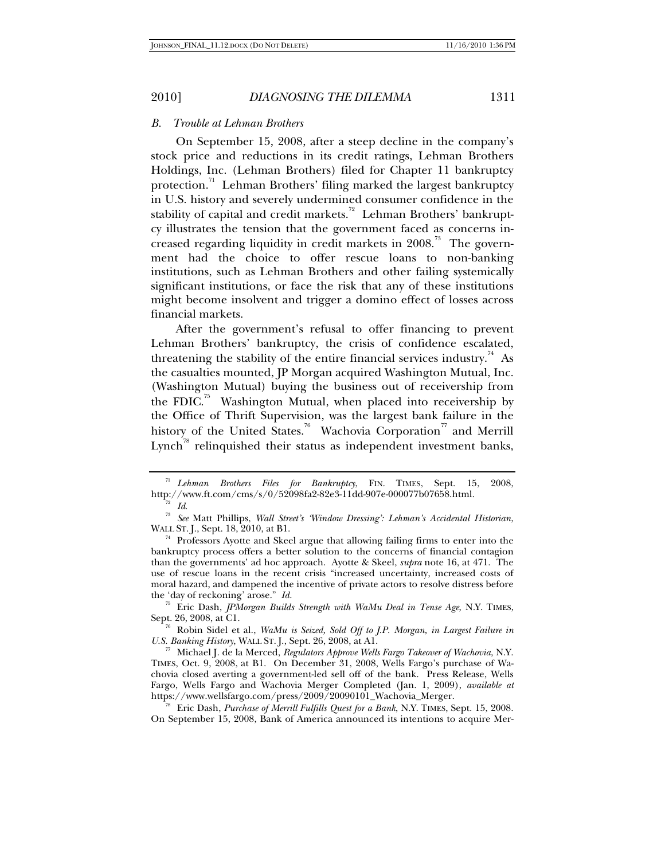#### *B. Trouble at Lehman Brothers*

On September 15, 2008, after a steep decline in the company's stock price and reductions in its credit ratings, Lehman Brothers Holdings, Inc. (Lehman Brothers) filed for Chapter 11 bankruptcy protection.<sup>71</sup> Lehman Brothers' filing marked the largest bankruptcy in U.S. history and severely undermined consumer confidence in the stability of capital and credit markets.<sup>72</sup> Lehman Brothers' bankruptcy illustrates the tension that the government faced as concerns increased regarding liquidity in credit markets in  $2008$ .<sup>73</sup> The government had the choice to offer rescue loans to non-banking institutions, such as Lehman Brothers and other failing systemically significant institutions, or face the risk that any of these institutions might become insolvent and trigger a domino effect of losses across financial markets.

After the government's refusal to offer financing to prevent Lehman Brothers' bankruptcy, the crisis of confidence escalated, threatening the stability of the entire financial services industry.<sup>74</sup> As the casualties mounted, JP Morgan acquired Washington Mutual, Inc. (Washington Mutual) buying the business out of receivership from the FDIC.<sup>75</sup> Washington Mutual, when placed into receivership by the Office of Thrift Supervision, was the largest bank failure in the history of the United States.<sup>76</sup> Wachovia Corporation<sup>77</sup> and Merrill  $Lynch^{\pi}$  relinquished their status as independent investment banks,

 $^{71}$  Lehman Brothers Files for Bankruptcy, FIN. TIMES, Sept. 15, 2008, http://www.ft.com/cms/s/0/52098fa2-82e3-11dd-907e-000077b07658.html.

<sup>&</sup>lt;sup>72</sup> Id.<br><sup>73</sup> See Matt Phillips, *Wall Street's 'Window Dressing': Lehman's Accidental Historian,*<br>WALL ST. J., Sept. 18, 2010, at B1.

 $74$  Professors Ayotte and Skeel argue that allowing failing firms to enter into the bankruptcy process offers a better solution to the concerns of financial contagion than the governments' ad hoc approach. Ayotte & Skeel, *supra* note 16, at 471. The use of rescue loans in the recent crisis "increased uncertainty, increased costs of moral hazard, and dampened the incentive of private actors to resolve distress before the 'day of reckoning' arose." *Id.*

<sup>75</sup> Eric Dash, *JPMorgan Builds Strength with WaMu Deal in Tense Age*, N.Y. TIMES, Sept. 26, 2008, at C1. 76 Robin Sidel et al., *WaMu is Seized, Sold Off to J.P. Morgan, in Largest Failure in* 

*U.S. Banking History*, WALL ST. J., Sept. 26, 2008, at A1. 77 Michael J. de la Merced, *Regulators Approve Wells Fargo Takeover of Wachovia*, N.Y. TIMES, Oct. 9, 2008, at B1. On December 31, 2008, Wells Fargo's purchase of Wachovia closed averting a government-led sell off of the bank. Press Release, Wells Fargo, Wells Fargo and Wachovia Merger Completed (Jan. 1, 2009), *available at* 

https://www.wellsfargo.com/press/2009/20090101\_Wachovia\_Merger. 78 Eric Dash, *Purchase of Merrill Fulfills Quest for a Bank*, N.Y. TIMES, Sept. 15, 2008. On September 15, 2008, Bank of America announced its intentions to acquire Mer-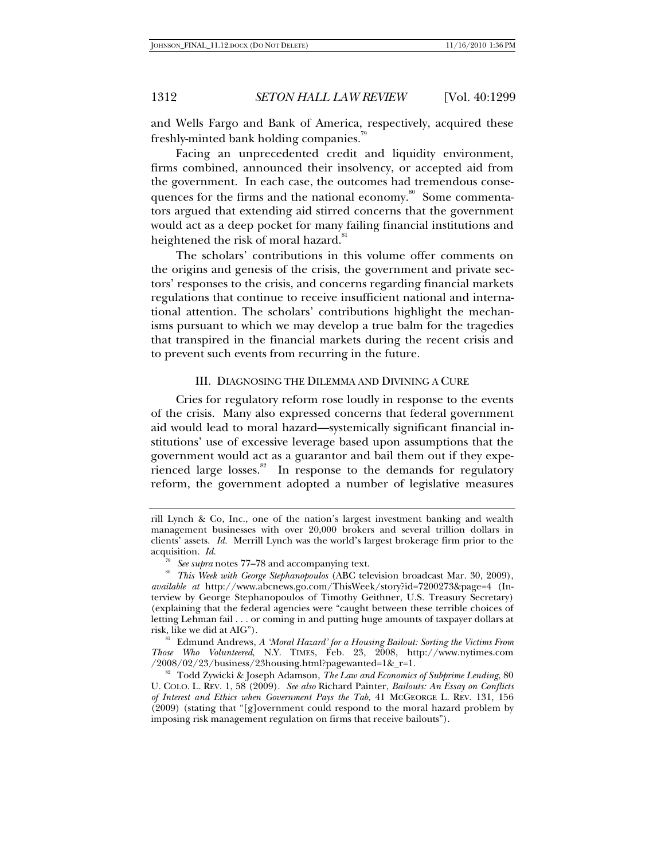and Wells Fargo and Bank of America, respectively, acquired these freshly-minted bank holding companies.<sup>79</sup>

Facing an unprecedented credit and liquidity environment, firms combined, announced their insolvency, or accepted aid from the government. In each case, the outcomes had tremendous consequences for the firms and the national economy.<sup>80</sup> Some commentators argued that extending aid stirred concerns that the government would act as a deep pocket for many failing financial institutions and heightened the risk of moral hazard.<sup>8</sup>

The scholars' contributions in this volume offer comments on the origins and genesis of the crisis, the government and private sectors' responses to the crisis, and concerns regarding financial markets regulations that continue to receive insufficient national and international attention. The scholars' contributions highlight the mechanisms pursuant to which we may develop a true balm for the tragedies that transpired in the financial markets during the recent crisis and to prevent such events from recurring in the future.

## III. DIAGNOSING THE DILEMMA AND DIVINING A CURE

Cries for regulatory reform rose loudly in response to the events of the crisis. Many also expressed concerns that federal government aid would lead to moral hazard—systemically significant financial institutions' use of excessive leverage based upon assumptions that the government would act as a guarantor and bail them out if they experienced large losses.<sup>82</sup> In response to the demands for regulatory reform, the government adopted a number of legislative measures

rill Lynch & Co, Inc., one of the nation's largest investment banking and wealth management businesses with over 20,000 brokers and several trillion dollars in clients' assets. *Id.* Merrill Lynch was the world's largest brokerage firm prior to the acquisition. *Id.* 

<sup>&</sup>lt;sup>79</sup> See supra notes 77–78 and accompanying text.<br><sup>80</sup> *This Week with George Stephanopoulos* (ABC television broadcast Mar. 30, 2009), *available at* http://www.abcnews.go.com/ThisWeek/story?id=7200273&page=4 (Interview by George Stephanopoulos of Timothy Geithner, U.S. Treasury Secretary) (explaining that the federal agencies were "caught between these terrible choices of letting Lehman fail . . . or coming in and putting huge amounts of taxpayer dollars at risk, like we did at AIG"). 81 Edmund Andrews, *A 'Moral Hazard' for a Housing Bailout: Sorting the Victims From* 

*Those Who Volunteered*, N.Y. TIMES, Feb. 23, 2008, http://www.nytimes.com /2008/02/23/business/23housing.html?pagewanted=1&\_r=1. 82 Todd Zywicki & Joseph Adamson, *The Law and Economics of Subprime Lending*, 80

U. COLO. L. REV. 1, 58 (2009). *See also* Richard Painter, *Bailouts: An Essay on Conflicts of Interest and Ethics when Government Pays the Tab*, 41 MCGEORGE L. REV. 131, 156 (2009) (stating that "[g]overnment could respond to the moral hazard problem by imposing risk management regulation on firms that receive bailouts").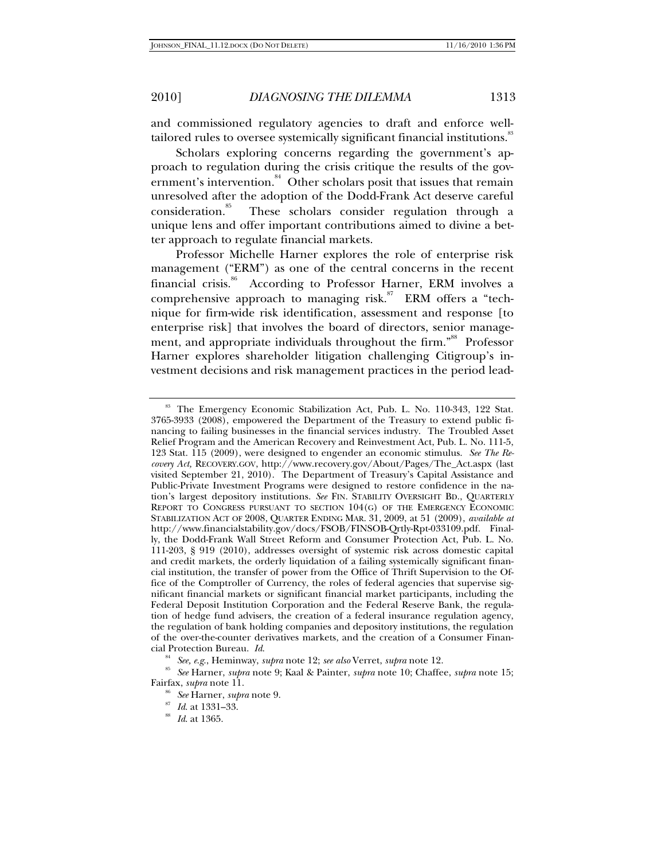and commissioned regulatory agencies to draft and enforce welltailored rules to oversee systemically significant financial institutions.<sup>33</sup>

Scholars exploring concerns regarding the government's approach to regulation during the crisis critique the results of the government's intervention.<sup>84</sup> Other scholars posit that issues that remain unresolved after the adoption of the Dodd-Frank Act deserve careful consideration.<sup>85</sup> These scholars consider regulation through a unique lens and offer important contributions aimed to divine a better approach to regulate financial markets.

Professor Michelle Harner explores the role of enterprise risk management ("ERM") as one of the central concerns in the recent financial crisis.<sup>86</sup> According to Professor Harner, ERM involves a comprehensive approach to managing risk.<sup>87</sup> ERM offers a "technique for firm-wide risk identification, assessment and response [to enterprise risk] that involves the board of directors, senior management, and appropriate individuals throughout the firm."<sup>88</sup> Professor Harner explores shareholder litigation challenging Citigroup's investment decisions and risk management practices in the period lead-

<sup>&</sup>lt;sup>83</sup> The Emergency Economic Stabilization Act, Pub. L. No. 110-343, 122 Stat. 3765-3933 (2008), empowered the Department of the Treasury to extend public financing to failing businesses in the financial services industry. The Troubled Asset Relief Program and the American Recovery and Reinvestment Act, Pub. L. No. 111-5, 123 Stat. 115 (2009), were designed to engender an economic stimulus. *See The Recovery Act,* RECOVERY.GOV, http://www.recovery.gov/About/Pages/The\_Act.aspx (last visited September 21, 2010). The Department of Treasury's Capital Assistance and Public-Private Investment Programs were designed to restore confidence in the nation's largest depository institutions. *See* FIN. STABILITY OVERSIGHT BD., QUARTERLY REPORT TO CONGRESS PURSUANT TO SECTION 104(G) OF THE EMERGENCY ECONOMIC STABILIZATION ACT OF 2008, QUARTER ENDING MAR. 31, 2009, at 51 (2009), *available at*  http://www.financialstability.gov/docs/FSOB/FINSOB-Qrtly-Rpt-033109.pdf. Finally, the Dodd-Frank Wall Street Reform and Consumer Protection Act, Pub. L. No. 111-203, § 919 (2010), addresses oversight of systemic risk across domestic capital and credit markets, the orderly liquidation of a failing systemically significant financial institution, the transfer of power from the Office of Thrift Supervision to the Office of the Comptroller of Currency, the roles of federal agencies that supervise significant financial markets or significant financial market participants, including the Federal Deposit Institution Corporation and the Federal Reserve Bank, the regulation of hedge fund advisers, the creation of a federal insurance regulation agency, the regulation of bank holding companies and depository institutions, the regulation of the over-the-counter derivatives markets, and the creation of a Consumer Financial Protection Bureau. *Id*.

<sup>84</sup> *See, e*.*g*., Heminway, *supra* note 12; *see also* Verret, *supra* note 12. 85 *See* Harner, *supra* note 9; Kaal & Painter, *supra* note 10; Chaffee, *supra* note 15;

Fairfax, *supra* note 11. 86 *See* Harner, *supra* note 9. 87 *Id*. at 1331–33. 88 *Id*. at 1365.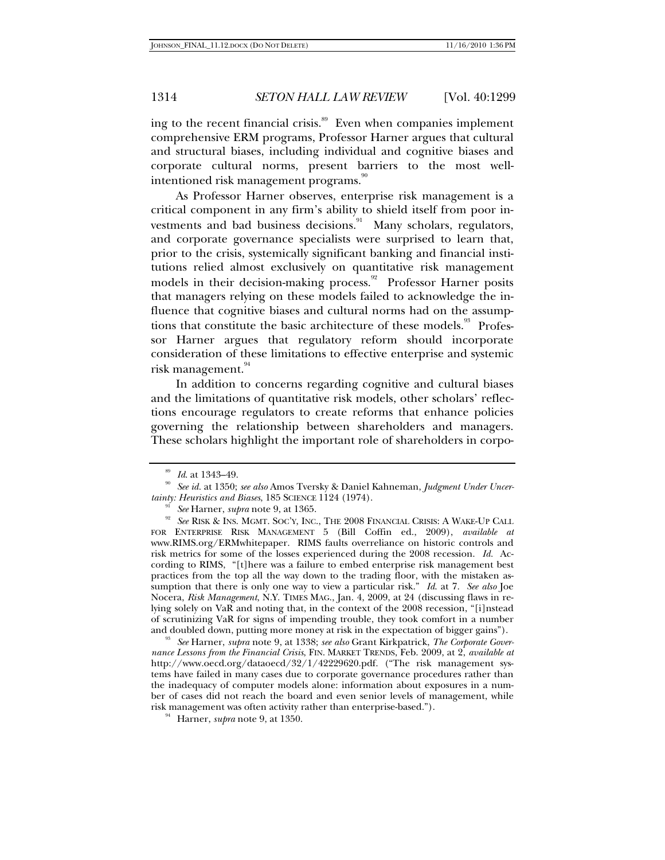ing to the recent financial crisis. $\frac{89}{10}$  Even when companies implement comprehensive ERM programs, Professor Harner argues that cultural and structural biases, including individual and cognitive biases and corporate cultural norms, present barriers to the most wellintentioned risk management programs. $^{\raisebox{-2pt}{$\scriptstyle{\scriptstyle\rm sp}$}}$ 

As Professor Harner observes, enterprise risk management is a critical component in any firm's ability to shield itself from poor investments and bad business decisions.<sup>91</sup> Many scholars, regulators, and corporate governance specialists were surprised to learn that, prior to the crisis, systemically significant banking and financial institutions relied almost exclusively on quantitative risk management models in their decision-making process.<sup>92</sup> Professor Harner posits that managers relying on these models failed to acknowledge the influence that cognitive biases and cultural norms had on the assumptions that constitute the basic architecture of these models.<sup>93</sup> Professor Harner argues that regulatory reform should incorporate consideration of these limitations to effective enterprise and systemic risk management.<sup>94</sup>

In addition to concerns regarding cognitive and cultural biases and the limitations of quantitative risk models, other scholars' reflections encourage regulators to create reforms that enhance policies governing the relationship between shareholders and managers. These scholars highlight the important role of shareholders in corpo-

*nance Lessons from the Financial Crisis*, FIN. MARKET TRENDS, Feb. 2009, at 2, *available at* http://www.oecd.org/dataoecd/32/1/42229620.pdf. ("The risk management systems have failed in many cases due to corporate governance procedures rather than the inadequacy of computer models alone: information about exposures in a number of cases did not reach the board and even senior levels of management, while risk management was often activity rather than enterprise-based."). 94 Harner, *supra* note 9, at 1350.

<sup>&</sup>lt;sup>89</sup> Id. at 1343–49.<br><sup>90</sup> See id. at 1350; see also Amos Tversky & Daniel Kahneman, *Judgment Under Uncertainty: Heuristics and Biases*, 185 SCIENCE 1124 (1974).

<sup>&</sup>lt;sup>91</sup> See Harner, *supra* note 9, at 1365.<br><sup>92</sup> See RISK & INS. MGMT. SOC'Y, INC., THE 2008 FINANCIAL CRISIS: A WAKE-UP CALL FOR ENTERPRISE RISK MANAGEMENT 5 (Bill Coffin ed., 2009), *available at*  www.RIMS.org/ERMwhitepaper. RIMS faults overreliance on historic controls and risk metrics for some of the losses experienced during the 2008 recession. *Id.* According to RIMS, "[t]here was a failure to embed enterprise risk management best practices from the top all the way down to the trading floor, with the mistaken assumption that there is only one way to view a particular risk." *Id*. at 7. *See also* Joe Nocera, *Risk Management*, N.Y. TIMES MAG., Jan. 4, 2009, at 24 (discussing flaws in relying solely on VaR and noting that, in the context of the 2008 recession, "[i]nstead of scrutinizing VaR for signs of impending trouble, they took comfort in a number and doubled down, putting more money at risk in the expectation of bigger gains"). 93 *See* Harner, *supra* note 9, at 1338; *see also* Grant Kirkpatrick, *The Corporate Gover-*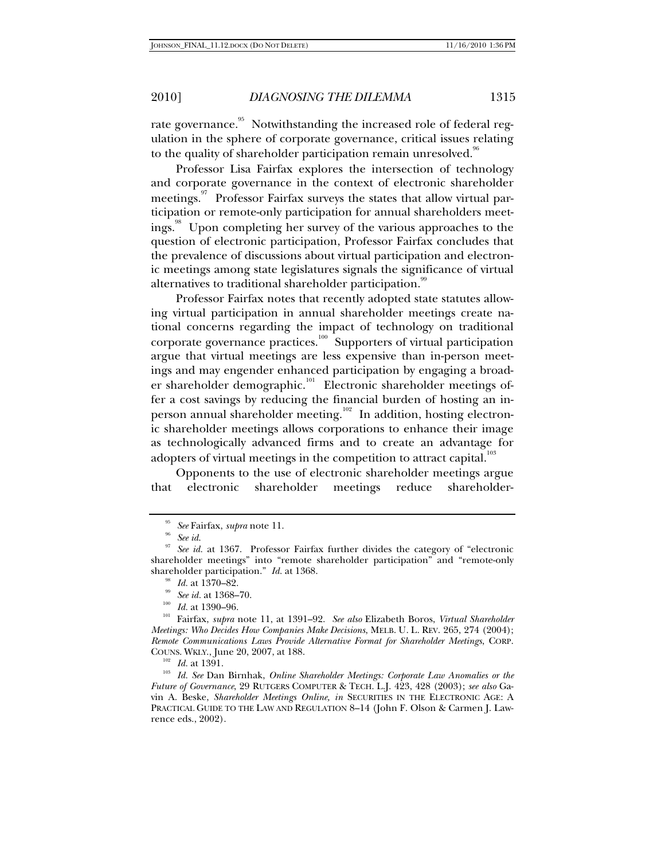rate governance.<sup>95</sup> Notwithstanding the increased role of federal regulation in the sphere of corporate governance, critical issues relating to the quality of shareholder participation remain unresolved.<sup>96</sup>

Professor Lisa Fairfax explores the intersection of technology and corporate governance in the context of electronic shareholder meetings.<sup>97</sup> Professor Fairfax surveys the states that allow virtual participation or remote-only participation for annual shareholders meetings.<sup>98</sup> Upon completing her survey of the various approaches to the question of electronic participation, Professor Fairfax concludes that the prevalence of discussions about virtual participation and electronic meetings among state legislatures signals the significance of virtual alternatives to traditional shareholder participation.<sup>99</sup>

Professor Fairfax notes that recently adopted state statutes allowing virtual participation in annual shareholder meetings create national concerns regarding the impact of technology on traditional corporate governance practices.<sup>100</sup> Supporters of virtual participation argue that virtual meetings are less expensive than in-person meetings and may engender enhanced participation by engaging a broader shareholder demographic.<sup>101</sup> Electronic shareholder meetings offer a cost savings by reducing the financial burden of hosting an inperson annual shareholder meeting.<sup>102</sup> In addition, hosting electronic shareholder meetings allows corporations to enhance their image as technologically advanced firms and to create an advantage for adopters of virtual meetings in the competition to attract capital.<sup>103</sup>

Opponents to the use of electronic shareholder meetings argue that electronic shareholder meetings reduce shareholder-

<sup>95</sup> *See* Fairfax, *supra* note 11. 96 *See id*. 97 *See id.* at 1367. Professor Fairfax further divides the category of "electronic shareholder meetings" into "remote shareholder participation" and "remote-only shareholder participation."  $Id.$  at 1368.

<sup>&</sup>lt;sup>98</sup> *Id.* at 1370–82.<br><sup>99</sup> *See id.* at 1368–70.<br><sup>100</sup> *Id.* at 1390–96.<br><sup>101</sup> Fairfax, *supra* note 11, at 1391–92. *See also* Elizabeth Boros, *Virtual Shareholder Meetings: Who Decides How Companies Make Decisions*, MELB. U. L. REV. 265, 274 (2004); *Remote Communications Laws Provide Alternative Format for Shareholder Meetings*, CORP.

<sup>&</sup>lt;sup>102</sup> Id. at 1391.<br><sup>103</sup> Id. See Dan Birnhak, *Online Shareholder Meetings: Corporate Law Anomalies or the Future of Governance*, 29 RUTGERS COMPUTER & TECH. L.J. 423, 428 (2003); *see also* Gavin A. Beske, *Shareholder Meetings Online, in* SECURITIES IN THE ELECTRONIC AGE: A PRACTICAL GUIDE TO THE LAW AND REGULATION 8–14 (John F. Olson & Carmen J. Lawrence eds., 2002).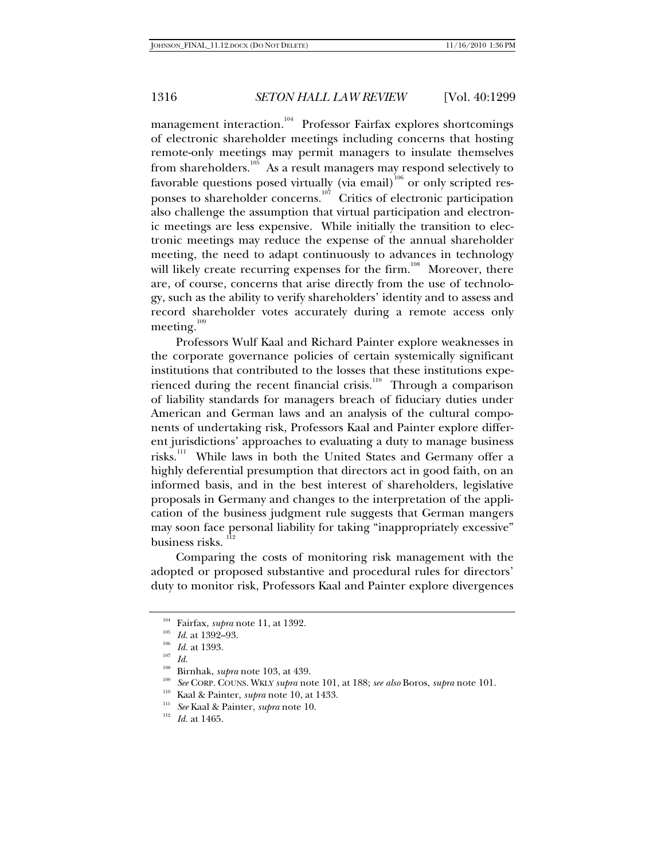management interaction.<sup>104</sup> Professor Fairfax explores shortcomings of electronic shareholder meetings including concerns that hosting remote-only meetings may permit managers to insulate themselves from shareholders.<sup>105</sup> As a result managers may respond selectively to favorable questions posed virtually (via email)<sup>106</sup> or only scripted responses to shareholder concerns.<sup>107</sup> Critics of electronic participation also challenge the assumption that virtual participation and electronic meetings are less expensive. While initially the transition to electronic meetings may reduce the expense of the annual shareholder meeting, the need to adapt continuously to advances in technology will likely create recurring expenses for the firm.<sup>108</sup> Moreover, there are, of course, concerns that arise directly from the use of technology, such as the ability to verify shareholders' identity and to assess and record shareholder votes accurately during a remote access only meeting.<sup>109</sup>

Professors Wulf Kaal and Richard Painter explore weaknesses in the corporate governance policies of certain systemically significant institutions that contributed to the losses that these institutions experienced during the recent financial crisis.<sup>110</sup> Through a comparison of liability standards for managers breach of fiduciary duties under American and German laws and an analysis of the cultural components of undertaking risk, Professors Kaal and Painter explore different jurisdictions' approaches to evaluating a duty to manage business risks.111 While laws in both the United States and Germany offer a highly deferential presumption that directors act in good faith, on an informed basis, and in the best interest of shareholders, legislative proposals in Germany and changes to the interpretation of the application of the business judgment rule suggests that German mangers may soon face personal liability for taking "inappropriately excessive" business risks.

Comparing the costs of monitoring risk management with the adopted or proposed substantive and procedural rules for directors' duty to monitor risk, Professors Kaal and Painter explore divergences

<sup>104</sup> Fairfax, *supra* note 11, at 1392.<br>
<sup>105</sup> *Id.* at 1392–93.<br>
<sup>106</sup> *Id.* at 1393.<br>
<sup>108</sup> Riverkak untugusti 103, at 436

<sup>&</sup>lt;sup>108</sup> Birnhak, *supra* note 103, at 439.<br><sup>109</sup> *See* CORP. COUNS. WKLY *supra* note 101, at 188; *see also* Boros, *supra* note 101.<br><sup>110</sup> Kaal & Painter, *supra* note 10, at 1433.<br><sup>111</sup> *See* Kaal & Painter, *supra* note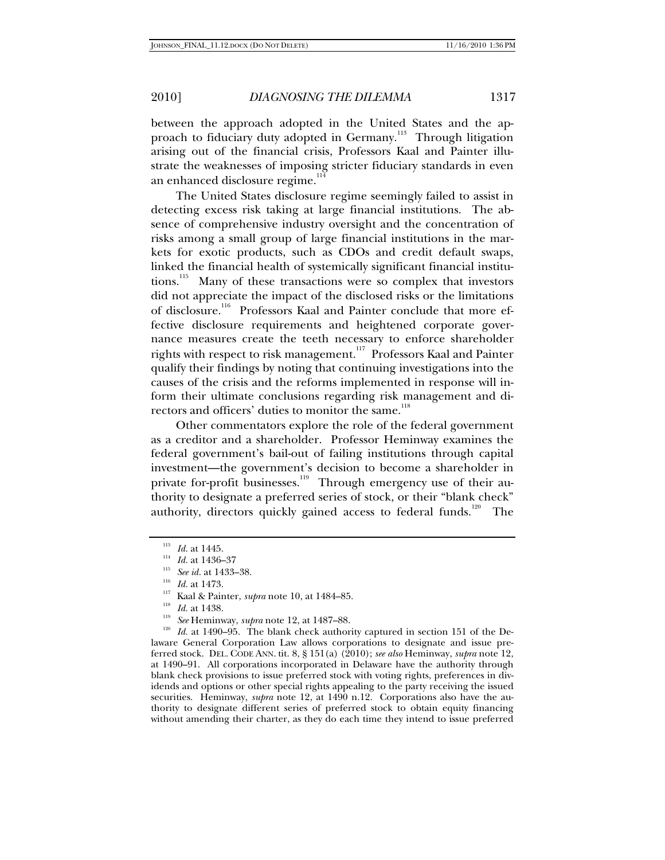between the approach adopted in the United States and the approach to fiduciary duty adopted in Germany.<sup>113</sup> Through litigation arising out of the financial crisis, Professors Kaal and Painter illustrate the weaknesses of imposing stricter fiduciary standards in even an enhanced disclosure regime.<sup>114</sup>

The United States disclosure regime seemingly failed to assist in detecting excess risk taking at large financial institutions. The absence of comprehensive industry oversight and the concentration of risks among a small group of large financial institutions in the markets for exotic products, such as CDOs and credit default swaps, linked the financial health of systemically significant financial institutions.<sup>115</sup> Many of these transactions were so complex that investors did not appreciate the impact of the disclosed risks or the limitations of disclosure.<sup>116</sup> Professors Kaal and Painter conclude that more effective disclosure requirements and heightened corporate governance measures create the teeth necessary to enforce shareholder rights with respect to risk management.<sup>117</sup> Professors Kaal and Painter qualify their findings by noting that continuing investigations into the causes of the crisis and the reforms implemented in response will inform their ultimate conclusions regarding risk management and directors and officers' duties to monitor the same.<sup>118</sup>

Other commentators explore the role of the federal government as a creditor and a shareholder. Professor Heminway examines the federal government's bail-out of failing institutions through capital investment—the government's decision to become a shareholder in private for-profit businesses.<sup>119</sup> Through emergency use of their authority to designate a preferred series of stock, or their "blank check" authority, directors quickly gained access to federal funds.<sup>120</sup> The

<sup>113</sup> *Id.* at 1445.<br>
<sup>114</sup> *Id.* at 1436–37<br>
<sup>115</sup> *See id.* at 1433–38.<br>
<sup>117</sup> Kaal & Painter, *supra* note 10, at 1484–85.<br>
<sup>117</sup> Kaal & Painter, *supra* note 10, at 1484–85.<br>
<sup>118</sup> *Id.* at 1438.<br>
<sup>119</sup> *See* Heminway laware General Corporation Law allows corporations to designate and issue preferred stock. DEL. CODE ANN. tit. 8, § 151(a) (2010); *see also* Heminway, *supra* note 12, at 1490–91.All corporations incorporated in Delaware have the authority through blank check provisions to issue preferred stock with voting rights, preferences in dividends and options or other special rights appealing to the party receiving the issued securities. Heminway, *supra* note 12, at 1490 n.12. Corporations also have the authority to designate different series of preferred stock to obtain equity financing without amending their charter, as they do each time they intend to issue preferred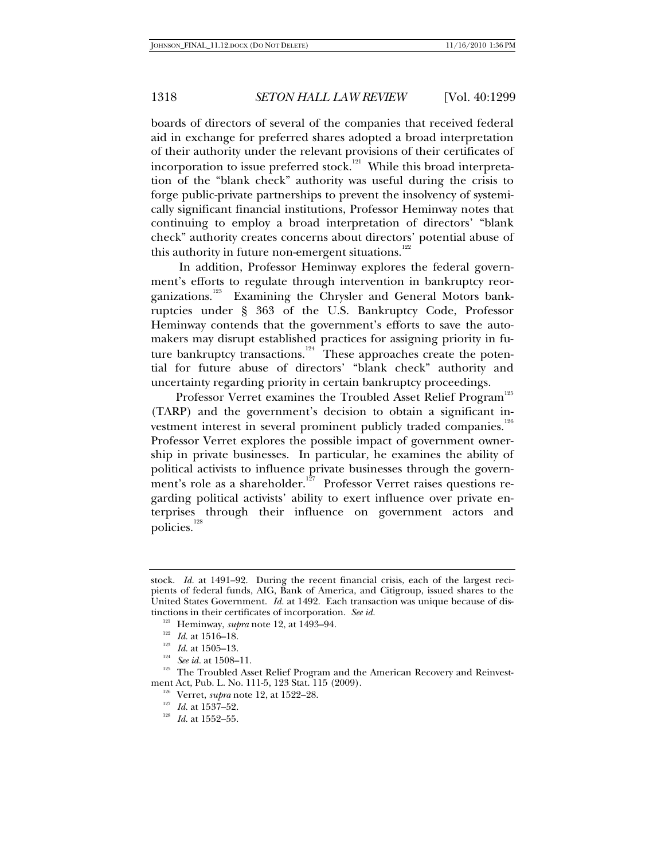boards of directors of several of the companies that received federal aid in exchange for preferred shares adopted a broad interpretation of their authority under the relevant provisions of their certificates of incorporation to issue preferred stock.<sup>121</sup> While this broad interpretation of the "blank check" authority was useful during the crisis to forge public-private partnerships to prevent the insolvency of systemically significant financial institutions, Professor Heminway notes that continuing to employ a broad interpretation of directors' "blank check" authority creates concerns about directors' potential abuse of this authority in future non-emergent situations.<sup>122</sup>

 In addition, Professor Heminway explores the federal government's efforts to regulate through intervention in bankruptcy reorganizations.<sup>123</sup> Examining the Chrysler and General Motors bankruptcies under § 363 of the U.S. Bankruptcy Code, Professor Heminway contends that the government's efforts to save the automakers may disrupt established practices for assigning priority in future bankruptcy transactions.<sup>124</sup> These approaches create the potential for future abuse of directors' "blank check" authority and uncertainty regarding priority in certain bankruptcy proceedings.

Professor Verret examines the Troubled Asset Relief Program<sup>125</sup> (TARP) and the government's decision to obtain a significant investment interest in several prominent publicly traded companies.<sup>126</sup> Professor Verret explores the possible impact of government ownership in private businesses. In particular, he examines the ability of political activists to influence private businesses through the government's role as a shareholder.<sup>127</sup> Professor Verret raises questions regarding political activists' ability to exert influence over private enterprises through their influence on government actors and policies.<sup>128</sup>

<sup>122</sup> Id. at 1516–18.<br><sup>123</sup> Id. at 1505–13.<br><sup>124</sup> See id. at 1508–11.<br><sup>125</sup> The Troubled Asset Relief Program and the American Recovery and Reinvestment Act, Pub. L. No. 111-5, 123 Stat. 115 (2009).<br><sup>126</sup> Verret, *supra* note 12, at 1522–28.<br><sup>127</sup> *Id.* at 1537–52.<br>*Id.* at 1552–55.

stock. *Id.* at 1491–92. During the recent financial crisis, each of the largest recipients of federal funds, AIG, Bank of America, and Citigroup, issued shares to the United States Government. *Id.* at 1492.Each transaction was unique because of distinctions in their certificates of incorporation. *See id.* <sup>121</sup> Heminway, *supra* note 12, at 1493–94.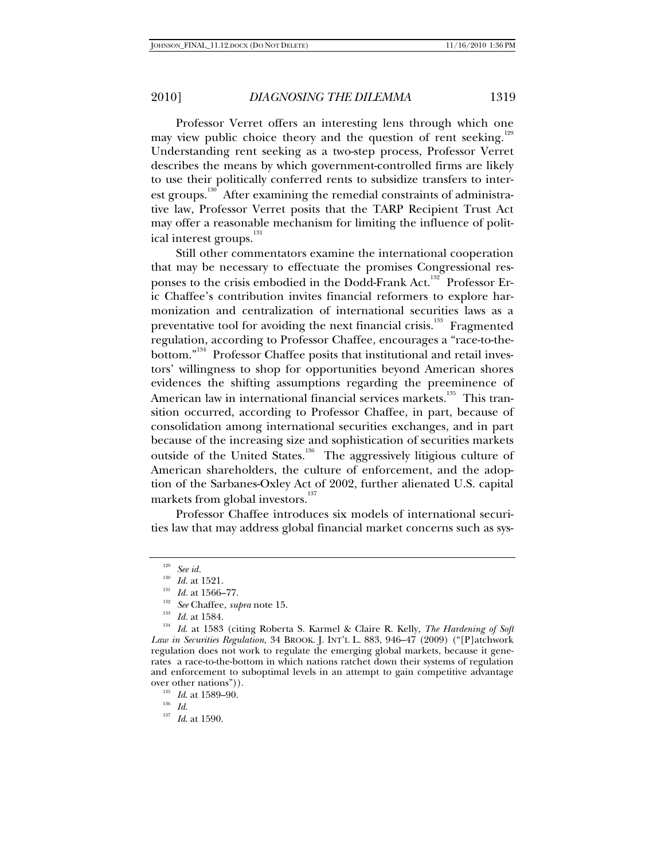Professor Verret offers an interesting lens through which one may view public choice theory and the question of rent seeking.<sup>129</sup> Understanding rent seeking as a two-step process, Professor Verret describes the means by which government-controlled firms are likely to use their politically conferred rents to subsidize transfers to interest groups.<sup>130</sup> After examining the remedial constraints of administrative law, Professor Verret posits that the TARP Recipient Trust Act may offer a reasonable mechanism for limiting the influence of political interest groups.<sup>131</sup>

Still other commentators examine the international cooperation that may be necessary to effectuate the promises Congressional responses to the crisis embodied in the Dodd-Frank Act.<sup>132</sup> Professor Eric Chaffee's contribution invites financial reformers to explore harmonization and centralization of international securities laws as a preventative tool for avoiding the next financial crisis.<sup>133</sup> Fragmented regulation, according to Professor Chaffee, encourages a "race-to-thebottom."<sup>134</sup> Professor Chaffee posits that institutional and retail investors' willingness to shop for opportunities beyond American shores evidences the shifting assumptions regarding the preeminence of American law in international financial services markets.<sup>135</sup> This transition occurred, according to Professor Chaffee, in part, because of consolidation among international securities exchanges, and in part because of the increasing size and sophistication of securities markets outside of the United States.<sup>136</sup> The aggressively litigious culture of American shareholders, the culture of enforcement, and the adoption of the Sarbanes-Oxley Act of 2002, further alienated U.S. capital markets from global investors.<sup>137</sup>

Professor Chaffee introduces six models of international securities law that may address global financial market concerns such as sys-

<sup>&</sup>lt;sup>129</sup> *See id. Id.* at 1521.

<sup>130</sup> *Id.* at 1521. 131 *Id.* at 1566–77. 132 *See* Chaffee, *supra* note 15. 133 *Id.* at 1584. 134 *Id*. at 1583 (citing Roberta S. Karmel & Claire R. Kelly, *The Hardening of Soft Law in Securities Regulation*, 34 BROOK. J. INT'L L. 883, 946–47 (2009) ("[P]atchwork regulation does not work to regulate the emerging global markets, because it generates a race-to-the-bottom in which nations ratchet down their systems of regulation and enforcement to suboptimal levels in an attempt to gain competitive advantage over other nations")). 135 *Id*. at 1589–90. 136 *Id.* 137 *Id*. at 1590.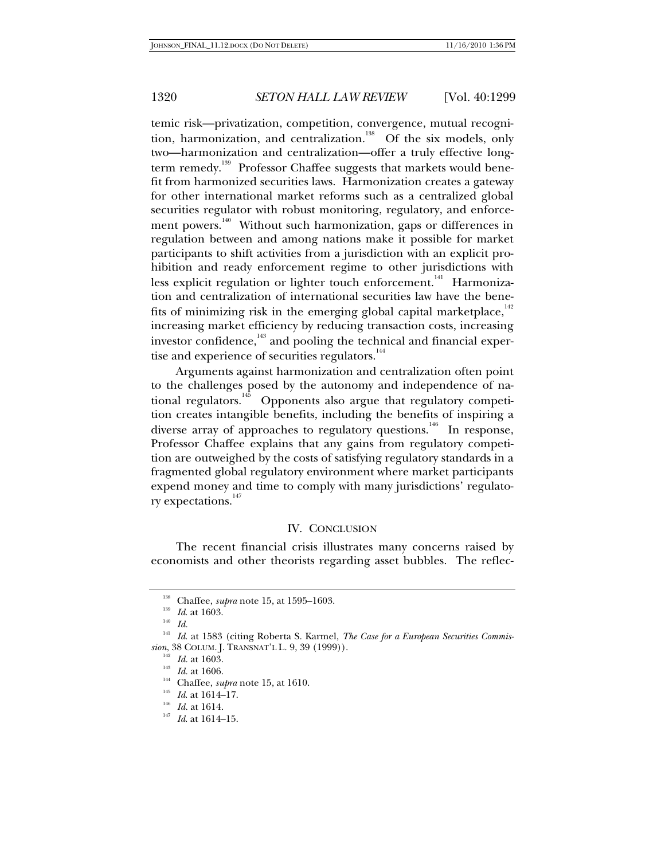temic risk—privatization, competition, convergence, mutual recognition, harmonization, and centralization.<sup>138</sup> Of the six models, only two—harmonization and centralization—offer a truly effective longterm remedy.<sup>139</sup> Professor Chaffee suggests that markets would benefit from harmonized securities laws. Harmonization creates a gateway for other international market reforms such as a centralized global securities regulator with robust monitoring, regulatory, and enforcement powers.<sup>140</sup> Without such harmonization, gaps or differences in regulation between and among nations make it possible for market participants to shift activities from a jurisdiction with an explicit prohibition and ready enforcement regime to other jurisdictions with less explicit regulation or lighter touch enforcement.<sup>141</sup> Harmonization and centralization of international securities law have the benefits of minimizing risk in the emerging global capital marketplace, $142$ increasing market efficiency by reducing transaction costs, increasing investor confidence, $143$  and pooling the technical and financial expertise and experience of securities regulators.<sup>144</sup>

Arguments against harmonization and centralization often point to the challenges posed by the autonomy and independence of national regulators.<sup>145</sup> Opponents also argue that regulatory competition creates intangible benefits, including the benefits of inspiring a diverse array of approaches to regulatory questions.<sup>146</sup> In response, Professor Chaffee explains that any gains from regulatory competition are outweighed by the costs of satisfying regulatory standards in a fragmented global regulatory environment where market participants expend money and time to comply with many jurisdictions' regulatory expectations.<sup>147</sup>

#### IV. CONCLUSION

The recent financial crisis illustrates many concerns raised by economists and other theorists regarding asset bubbles. The reflec-

<sup>&</sup>lt;sup>138</sup> Chaffee, *supra* note 15, at 1595–1603.<br>
<sup>140</sup> *Id.* at 1603.<br>
<sup>141</sup> *Id.* at 1583 (citing Roberta S. Karmel, *The Case for a European Securities Commission*, 38 COLUM. J. TRANSNAT'L L. 9, 39 (1999)).<br><sup>142</sup> *Id.* at 1603.<br><sup>143</sup> *Id.* at 1606.<br><sup>145</sup> *Id.* at 1614–17.<br><sup>146</sup> *Id.* at 1614.<br><sup>147</sup> *Id.* at 1614–15.<br><sup>147</sup> *Id.* at 1614–15.